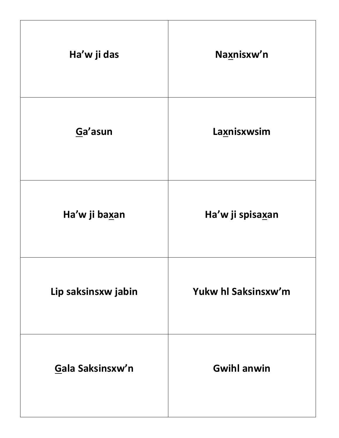| Ha'w ji das         | Naxnisxw'n          |
|---------------------|---------------------|
| Ga'asun             | Laxnisxwsim         |
| Ha'w ji baxan       | Ha'w ji spisaxan    |
| Lip saksinsxw jabin | Yukw hl Saksinsxw'm |
| Gala Saksinsxw'n    | <b>Gwihl anwin</b>  |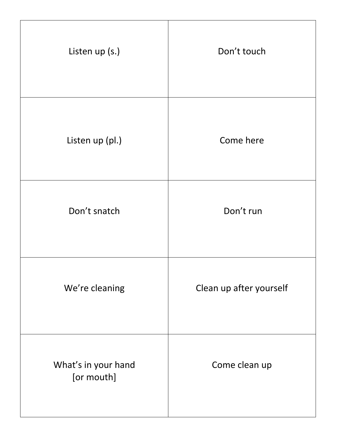| Listen up (s.)                    | Don't touch             |
|-----------------------------------|-------------------------|
| Listen up (pl.)                   | Come here               |
| Don't snatch                      | Don't run               |
| We're cleaning                    | Clean up after yourself |
| What's in your hand<br>[or mouth] | Come clean up           |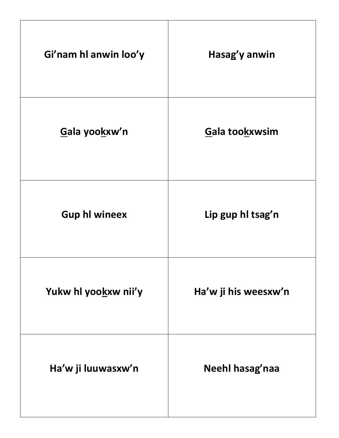| Gi'nam hl anwin loo'y | Hasag'y anwin        |
|-----------------------|----------------------|
| Gala yookxw'n         | Gala tookxwsim       |
| <b>Gup hl wineex</b>  | Lip gup hl tsag'n    |
| Yukw hl yookxw nii'y  | Ha'w ji his weesxw'n |
| Ha'w ji luuwasxw'n    | Neehl hasag'naa      |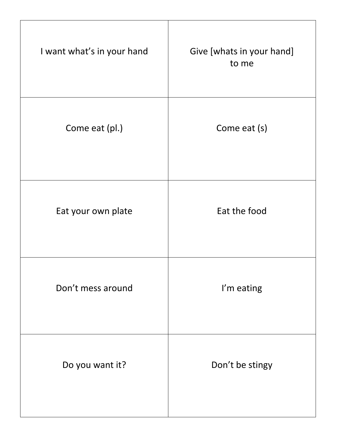| I want what's in your hand | Give [whats in your hand]<br>to me |
|----------------------------|------------------------------------|
| Come eat (pl.)             | Come eat (s)                       |
| Eat your own plate         | Eat the food                       |
| Don't mess around          | I'm eating                         |
| Do you want it?            | Don't be stingy                    |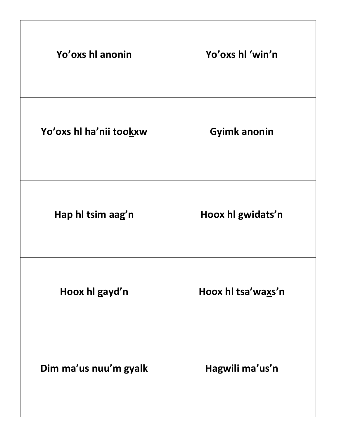| Yo'oxs hl anonin        | Yo'oxs hl 'win'n    |
|-------------------------|---------------------|
| Yo'oxs hl ha'nii tookxw | <b>Gyimk anonin</b> |
| Hap hl tsim aag'n       | Hoox hl gwidats'n   |
| Hoox hl gayd'n          | Hoox hl tsa'waxs'n  |
| Dim ma'us nuu'm gyalk   | Hagwili ma'us'n     |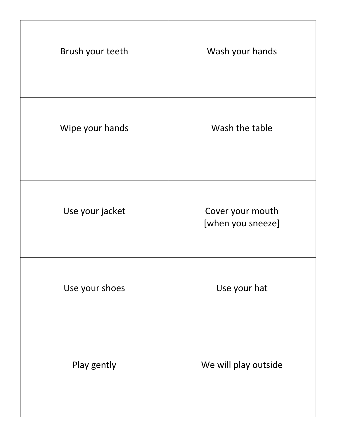| Brush your teeth | Wash your hands                       |
|------------------|---------------------------------------|
| Wipe your hands  | Wash the table                        |
| Use your jacket  | Cover your mouth<br>[when you sneeze] |
| Use your shoes   | Use your hat                          |
| Play gently      | We will play outside                  |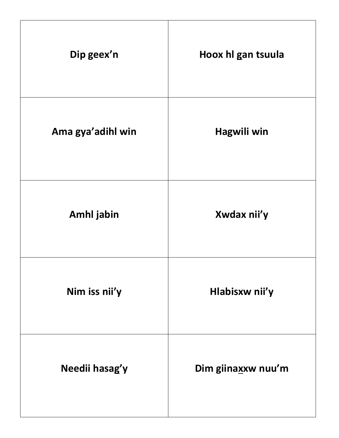| Dip geex'n        | Hoox hl gan tsuula |
|-------------------|--------------------|
| Ama gya'adihl win | Hagwili win        |
| Amhl jabin        | Xwdax nii'y        |
| Nim iss nii'y     | Hlabisxw nii'y     |
| Needii hasag'y    | Dim giinaxxw nuu'm |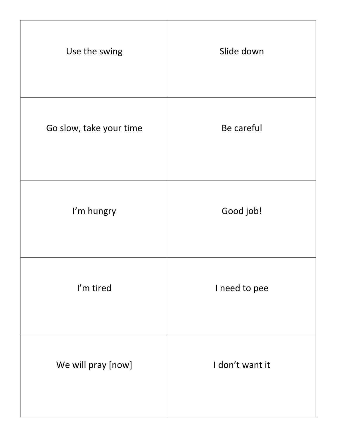| Use the swing           | Slide down      |
|-------------------------|-----------------|
| Go slow, take your time | Be careful      |
| I'm hungry              | Good job!       |
| I'm tired               | I need to pee   |
| We will pray [now]      | I don't want it |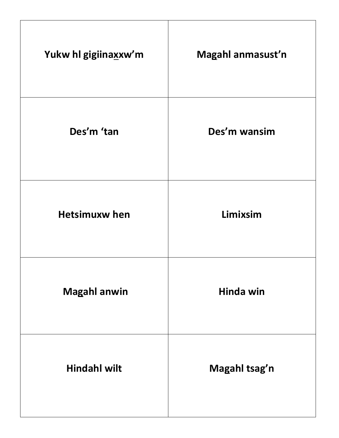| Yukw hl gigiinaxxw'm | Magahl anmasust'n |
|----------------------|-------------------|
| Des'm 'tan           | Des'm wansim      |
| <b>Hetsimuxw hen</b> | Limixsim          |
| <b>Magahl anwin</b>  | Hinda win         |
| <b>Hindahl wilt</b>  | Magahl tsag'n     |